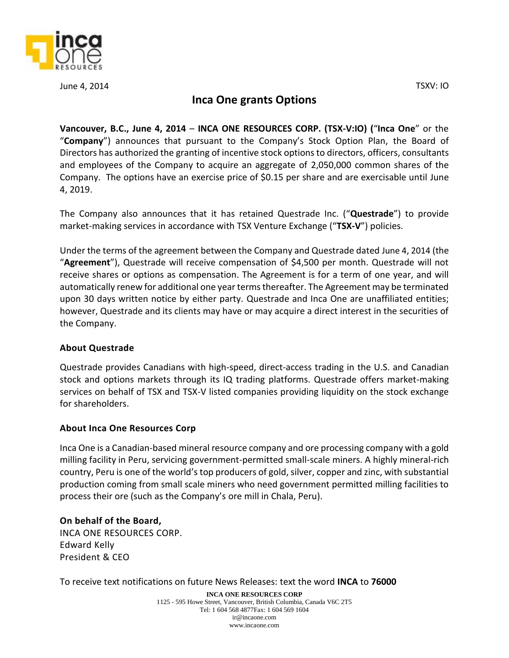

June 4, 2014 TSXV: IO

## **Inca One grants Options**

**Vancouver, B.C., June 4, 2014** – **INCA ONE RESOURCES CORP. (TSX‐V:IO) (**"**Inca One**" or the "**Company**") announces that pursuant to the Company's Stock Option Plan, the Board of Directors has authorized the granting of incentive stock options to directors, officers, consultants and employees of the Company to acquire an aggregate of 2,050,000 common shares of the Company. The options have an exercise price of \$0.15 per share and are exercisable until June 4, 2019.

The Company also announces that it has retained Questrade Inc. ("**Questrade**") to provide market-making services in accordance with TSX Venture Exchange ("**TSX-V**") policies.

Under the terms of the agreement between the Company and Questrade dated June 4, 2014 (the "**Agreement**"), Questrade will receive compensation of \$4,500 per month. Questrade will not receive shares or options as compensation. The Agreement is for a term of one year, and will automatically renew for additional one year terms thereafter. The Agreement may be terminated upon 30 days written notice by either party. Questrade and Inca One are unaffiliated entities; however, Questrade and its clients may have or may acquire a direct interest in the securities of the Company.

## **About Questrade**

Questrade provides Canadians with high-speed, direct-access trading in the U.S. and Canadian stock and options markets through its IQ trading platforms. Questrade offers market-making services on behalf of TSX and TSX-V listed companies providing liquidity on the stock exchange for shareholders.

## **About Inca One Resources Corp**

Inca One is a Canadian-based mineral resource company and ore processing company with a gold milling facility in Peru, servicing government-permitted small-scale miners. A highly mineral-rich country, Peru is one of the world's top producers of gold, silver, copper and zinc, with substantial production coming from small scale miners who need government permitted milling facilities to process their ore (such as the Company's ore mill in Chala, Peru).

**On behalf of the Board,**  INCA ONE RESOURCES CORP. Edward Kelly President & CEO

To receive text notifications on future News Releases: text the word **INCA** to **76000**

**INCA ONE RESOURCES CORP** 1125 - 595 Howe Street, Vancouver, British Columbia, Canada V6C 2T5 Tel: 1 604 568 4877Fax: 1 604 569 1604 ir@incaone.com www.incaone.com